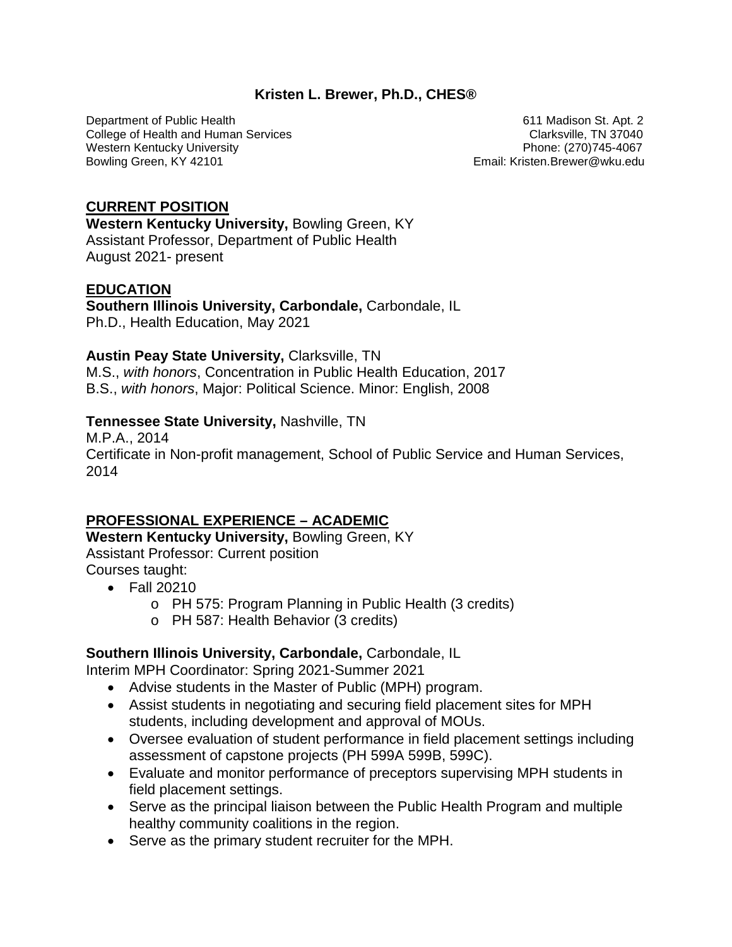### **Kristen L. Brewer, Ph.D., CHES®**

Department of Public Health 611 Madison St. Apt. 2<br>College of Health and Human Services College of Health 611 Madison St. Apt. 2 College of Health and Human Services Western Kentucky University **Phone: (270)745-4067** Bowling Green, KY 42101 **Email: Kristen.Brewer@wku.edu** Email: Kristen.Brewer@wku.edu

# **CURRENT POSITION**

**Western Kentucky University,** Bowling Green, KY Assistant Professor, Department of Public Health August 2021- present

# **EDUCATION**

**Southern Illinois University, Carbondale,** Carbondale, IL Ph.D., Health Education, May 2021

#### **Austin Peay State University,** Clarksville, TN

M.S., *with honors*, Concentration in Public Health Education, 2017 B.S., *with honors*, Major: Political Science. Minor: English, 2008

### **Tennessee State University,** Nashville, TN

M.P.A., 2014 Certificate in Non-profit management, School of Public Service and Human Services, 2014

# **PROFESSIONAL EXPERIENCE – ACADEMIC**

**Western Kentucky University,** Bowling Green, KY Assistant Professor: Current position Courses taught:

- Fall 20210
	- o PH 575: Program Planning in Public Health (3 credits)
	- o PH 587: Health Behavior (3 credits)

# **Southern Illinois University, Carbondale,** Carbondale, IL

Interim MPH Coordinator: Spring 2021-Summer 2021

- Advise students in the Master of Public (MPH) program.
- Assist students in negotiating and securing field placement sites for MPH students, including development and approval of MOUs.
- Oversee evaluation of student performance in field placement settings including assessment of capstone projects (PH 599A 599B, 599C).
- Evaluate and monitor performance of preceptors supervising MPH students in field placement settings.
- Serve as the principal liaison between the Public Health Program and multiple healthy community coalitions in the region.
- Serve as the primary student recruiter for the MPH.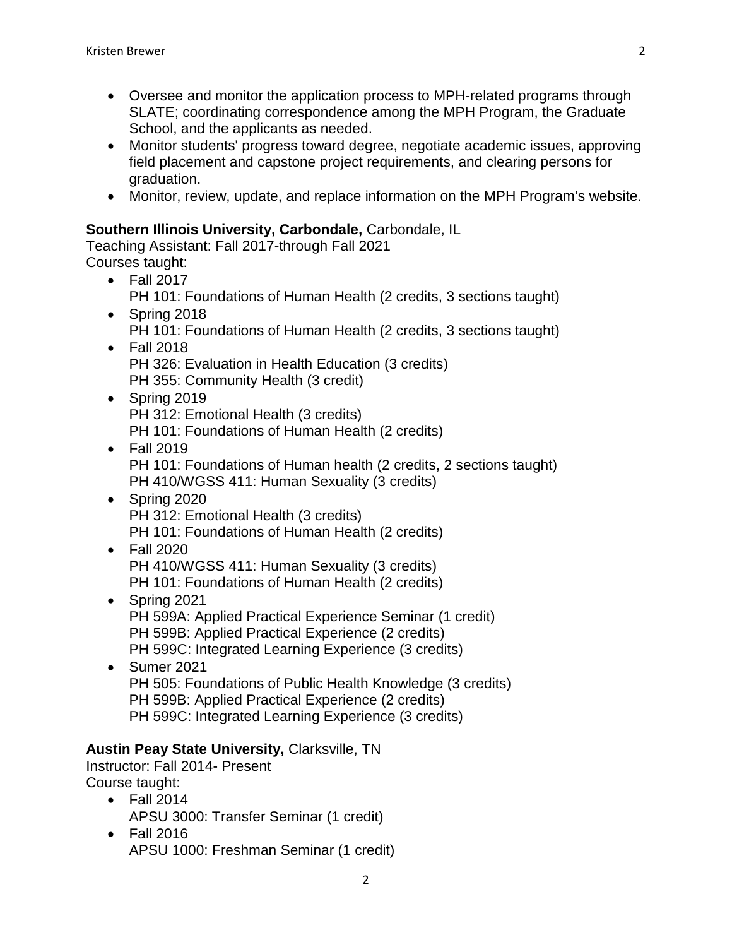- Oversee and monitor the application process to MPH-related programs through SLATE; coordinating correspondence among the MPH Program, the Graduate School, and the applicants as needed.
- Monitor students' progress toward degree, negotiate academic issues, approving field placement and capstone project requirements, and clearing persons for graduation.
- Monitor, review, update, and replace information on the MPH Program's website.

# **Southern Illinois University, Carbondale,** Carbondale, IL

Teaching Assistant: Fall 2017-through Fall 2021 Courses taught:

- Fall 2017 PH 101: Foundations of Human Health (2 credits, 3 sections taught)
- Spring 2018 PH 101: Foundations of Human Health (2 credits, 3 sections taught)
- Fall 2018 PH 326: Evaluation in Health Education (3 credits) PH 355: Community Health (3 credit)
- Spring 2019 PH 312: Emotional Health (3 credits) PH 101: Foundations of Human Health (2 credits)
- Fall 2019 PH 101: Foundations of Human health (2 credits, 2 sections taught) PH 410/WGSS 411: Human Sexuality (3 credits)
- Spring 2020 PH 312: Emotional Health (3 credits) PH 101: Foundations of Human Health (2 credits)
- Fall 2020 PH 410/WGSS 411: Human Sexuality (3 credits) PH 101: Foundations of Human Health (2 credits)
- Spring 2021 PH 599A: Applied Practical Experience Seminar (1 credit) PH 599B: Applied Practical Experience (2 credits) PH 599C: Integrated Learning Experience (3 credits)
- Sumer 2021 PH 505: Foundations of Public Health Knowledge (3 credits) PH 599B: Applied Practical Experience (2 credits) PH 599C: Integrated Learning Experience (3 credits)

# **Austin Peay State University,** Clarksville, TN

Instructor: Fall 2014- Present Course taught:

- Fall 2014 APSU 3000: Transfer Seminar (1 credit)
- Fall 2016 APSU 1000: Freshman Seminar (1 credit)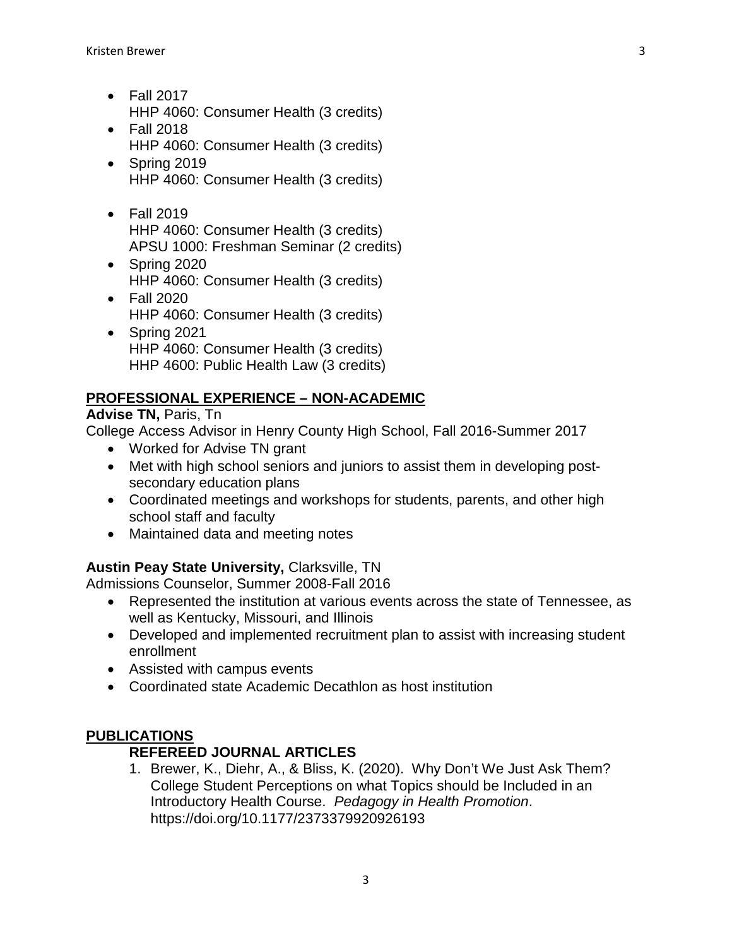- Fall 2017 HHP 4060: Consumer Health (3 credits)
- Fall 2018 HHP 4060: Consumer Health (3 credits)
- Spring 2019 HHP 4060: Consumer Health (3 credits)
- Fall 2019 HHP 4060: Consumer Health (3 credits) APSU 1000: Freshman Seminar (2 credits)
- Spring 2020 HHP 4060: Consumer Health (3 credits)
- Fall 2020 HHP 4060: Consumer Health (3 credits)
- Spring 2021 HHP 4060: Consumer Health (3 credits) HHP 4600: Public Health Law (3 credits)

# **PROFESSIONAL EXPERIENCE – NON-ACADEMIC**

# **Advise TN,** Paris, Tn

College Access Advisor in Henry County High School, Fall 2016-Summer 2017

- Worked for Advise TN grant
- Met with high school seniors and juniors to assist them in developing postsecondary education plans
- Coordinated meetings and workshops for students, parents, and other high school staff and faculty
- Maintained data and meeting notes

# **Austin Peay State University,** Clarksville, TN

Admissions Counselor, Summer 2008-Fall 2016

- Represented the institution at various events across the state of Tennessee, as well as Kentucky, Missouri, and Illinois
- Developed and implemented recruitment plan to assist with increasing student enrollment
- Assisted with campus events
- Coordinated state Academic Decathlon as host institution

# **PUBLICATIONS**

# **REFEREED JOURNAL ARTICLES**

1. Brewer, K., Diehr, A., & Bliss, K. (2020). Why Don't We Just Ask Them? College Student Perceptions on what Topics should be Included in an Introductory Health Course. *Pedagogy in Health Promotion*. https://doi.org/10.1177/2373379920926193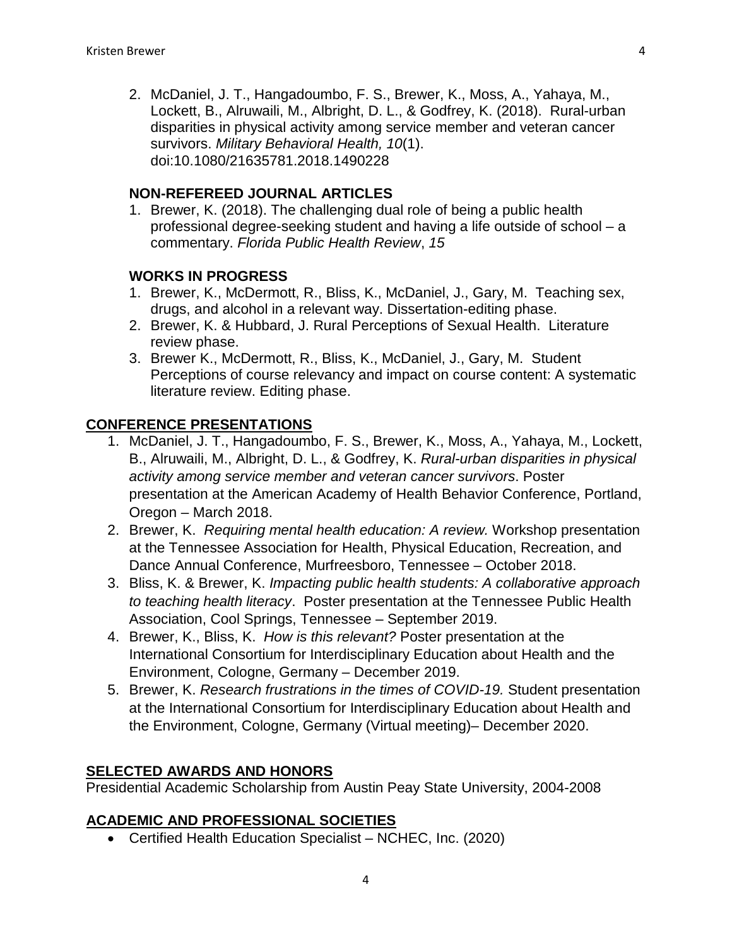2. McDaniel, J. T., Hangadoumbo, F. S., Brewer, K., Moss, A., Yahaya, M., Lockett, B., Alruwaili, M., Albright, D. L., & Godfrey, K. (2018). Rural-urban disparities in physical activity among service member and veteran cancer survivors. *Military Behavioral Health, 10*(1). doi:10.1080/21635781.2018.1490228

# **NON-REFEREED JOURNAL ARTICLES**

1. Brewer, K. (2018). The challenging dual role of being a public health professional degree-seeking student and having a life outside of school – a commentary. *Florida Public Health Review*, *15*

# **WORKS IN PROGRESS**

- 1. Brewer, K., McDermott, R., Bliss, K., McDaniel, J., Gary, M. Teaching sex, drugs, and alcohol in a relevant way. Dissertation-editing phase.
- 2. Brewer, K. & Hubbard, J. Rural Perceptions of Sexual Health. Literature review phase.
- 3. Brewer K., McDermott, R., Bliss, K., McDaniel, J., Gary, M. Student Perceptions of course relevancy and impact on course content: A systematic literature review. Editing phase.

### **CONFERENCE PRESENTATIONS**

- 1. McDaniel, J. T., Hangadoumbo, F. S., Brewer, K., Moss, A., Yahaya, M., Lockett, B., Alruwaili, M., Albright, D. L., & Godfrey, K. *Rural-urban disparities in physical activity among service member and veteran cancer survivors*. Poster presentation at the American Academy of Health Behavior Conference, Portland, Oregon – March 2018.
- 2. Brewer, K. *Requiring mental health education: A review.* Workshop presentation at the Tennessee Association for Health, Physical Education, Recreation, and Dance Annual Conference, Murfreesboro, Tennessee – October 2018.
- 3. Bliss, K. & Brewer, K. *Impacting public health students: A collaborative approach to teaching health literacy*. Poster presentation at the Tennessee Public Health Association, Cool Springs, Tennessee – September 2019.
- 4. Brewer, K., Bliss, K. *How is this relevant?* Poster presentation at the International Consortium for Interdisciplinary Education about Health and the Environment, Cologne, Germany – December 2019.
- 5. Brewer, K. *Research frustrations in the times of COVID-19.* Student presentation at the International Consortium for Interdisciplinary Education about Health and the Environment, Cologne, Germany (Virtual meeting)– December 2020.

#### **SELECTED AWARDS AND HONORS**

Presidential Academic Scholarship from Austin Peay State University, 2004-2008

# **ACADEMIC AND PROFESSIONAL SOCIETIES**

• Certified Health Education Specialist – NCHEC, Inc. (2020)